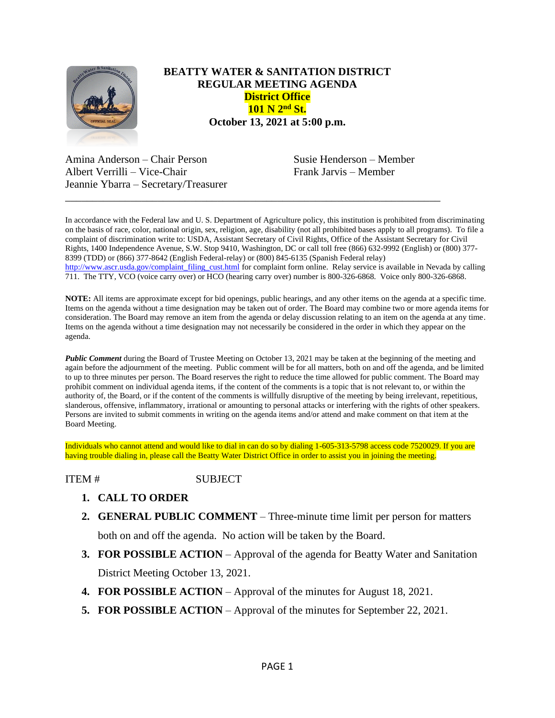

## **BEATTY WATER & SANITATION DISTRICT REGULAR MEETING AGENDA District Office 101 N 2nd St. October 13, 2021 at 5:00 p.m.**

Amina Anderson – Chair Person Susie Henderson – Member Albert Verrilli – Vice-Chair Frank Jarvis – Member Jeannie Ybarra – Secretary/Treasurer

In accordance with the Federal law and U. S. Department of Agriculture policy, this institution is prohibited from discriminating on the basis of race, color, national origin, sex, religion, age, disability (not all prohibited bases apply to all programs). To file a complaint of discrimination write to: USDA, Assistant Secretary of Civil Rights, Office of the Assistant Secretary for Civil Rights, 1400 Independence Avenue, S.W. Stop 9410, Washington, DC or call toll free (866) 632-9992 (English) or (800) 377- 8399 (TDD) or (866) 377-8642 (English Federal-relay) or (800) 845-6135 (Spanish Federal relay) [http://www.ascr.usda.gov/complaint\\_filing\\_cust.html](http://www.ascr.usda.gov/complaint_filing_cust.html) for complaint form online. Relay service is available in Nevada by calling 711. The TTY, VCO (voice carry over) or HCO (hearing carry over) number is 800-326-6868. Voice only 800-326-6868.

\_\_\_\_\_\_\_\_\_\_\_\_\_\_\_\_\_\_\_\_\_\_\_\_\_\_\_\_\_\_\_\_\_\_\_\_\_\_\_\_\_\_\_\_\_\_\_\_\_\_\_\_\_\_\_\_\_\_\_\_\_\_\_\_\_\_\_\_\_

**NOTE:** All items are approximate except for bid openings, public hearings, and any other items on the agenda at a specific time. Items on the agenda without a time designation may be taken out of order. The Board may combine two or more agenda items for consideration. The Board may remove an item from the agenda or delay discussion relating to an item on the agenda at any time. Items on the agenda without a time designation may not necessarily be considered in the order in which they appear on the agenda.

*Public Comment* during the Board of Trustee Meeting on October 13, 2021 may be taken at the beginning of the meeting and again before the adjournment of the meeting. Public comment will be for all matters, both on and off the agenda, and be limited to up to three minutes per person. The Board reserves the right to reduce the time allowed for public comment. The Board may prohibit comment on individual agenda items, if the content of the comments is a topic that is not relevant to, or within the authority of, the Board, or if the content of the comments is willfully disruptive of the meeting by being irrelevant, repetitious, slanderous, offensive, inflammatory, irrational or amounting to personal attacks or interfering with the rights of other speakers. Persons are invited to submit comments in writing on the agenda items and/or attend and make comment on that item at the Board Meeting.

Individuals who cannot attend and would like to dial in can do so by dialing 1-605-313-5798 access code 7520029. If you are having trouble dialing in, please call the Beatty Water District Office in order to assist you in joining the meeting.

ITEM # SUBJECT

- **1. CALL TO ORDER**
- **2. GENERAL PUBLIC COMMENT** Three-minute time limit per person for matters

both on and off the agenda. No action will be taken by the Board.

- **3. FOR POSSIBLE ACTION** Approval of the agenda for Beatty Water and Sanitation District Meeting October 13, 2021.
- **4. FOR POSSIBLE ACTION**  Approval of the minutes for August 18, 2021.
- **5. FOR POSSIBLE ACTION Approval of the minutes for September 22, 2021.**